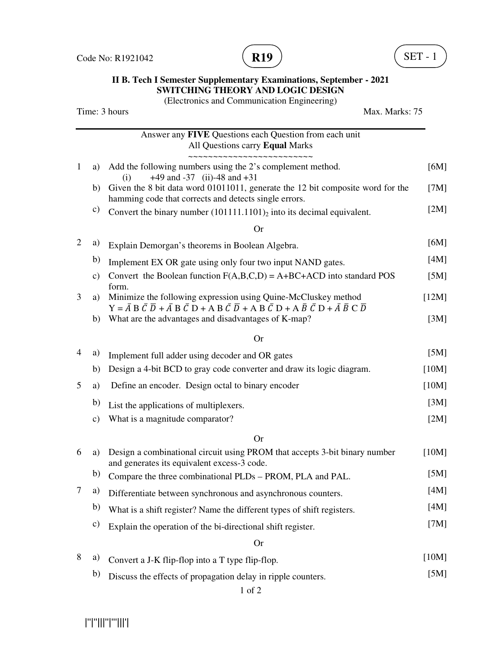Code No: R1921042



## **II B. Tech I Semester Supplementary Examinations, September - 2021 SWITCHING THEORY AND LOGIC DESIGN**

(Electronics and Communication Engineering)

| Time: 3 hours  | Max. Marks: 75 |                                                                                                                                                                                                                                                                       |       |
|----------------|----------------|-----------------------------------------------------------------------------------------------------------------------------------------------------------------------------------------------------------------------------------------------------------------------|-------|
|                |                | Answer any FIVE Questions each Question from each unit<br>All Questions carry Equal Marks<br>~~~~~~~~~~~~~~~~~~~~~~~~~                                                                                                                                                |       |
| 1              | a)             | Add the following numbers using the 2's complement method.<br>$+49$ and $-37$ (ii) $-48$ and $+31$<br>(i)                                                                                                                                                             | [6M]  |
|                | b)             | Given the 8 bit data word 01011011, generate the 12 bit composite word for the<br>hamming code that corrects and detects single errors.                                                                                                                               | [7M]  |
|                | c)             | Convert the binary number $(101111.1101)$ <sub>2</sub> into its decimal equivalent.                                                                                                                                                                                   | [2M]  |
|                |                | <b>Or</b>                                                                                                                                                                                                                                                             |       |
| $\overline{2}$ | a)             | Explain Demorgan's theorems in Boolean Algebra.                                                                                                                                                                                                                       | [6M]  |
|                | b)             | Implement EX OR gate using only four two input NAND gates.                                                                                                                                                                                                            | [4M]  |
|                | $\mathbf{c})$  | Convert the Boolean function $F(A,B,C,D) = A + BC + ACD$ into standard POS                                                                                                                                                                                            | [5M]  |
| 3              | a)             | form.<br>Minimize the following expression using Quine-McCluskey method                                                                                                                                                                                               | [12M] |
|                | b)             | $Y = \overline{A} B \overline{C} \overline{D} + \overline{A} B \overline{C} D + A B \overline{C} \overline{D} + A B \overline{C} D + A \overline{B} \overline{C} D + \overline{A} \overline{B} C \overline{D}$<br>What are the advantages and disadvantages of K-map? | [3M]  |
|                |                | <b>Or</b>                                                                                                                                                                                                                                                             |       |
| 4              | a)             | Implement full adder using decoder and OR gates                                                                                                                                                                                                                       | [5M]  |
|                | b)             | Design a 4-bit BCD to gray code converter and draw its logic diagram.                                                                                                                                                                                                 | [10M] |
| 5              | a)             | Define an encoder. Design octal to binary encoder                                                                                                                                                                                                                     | [10M] |
|                | b)             | List the applications of multiplexers.                                                                                                                                                                                                                                | [3M]  |
|                | $\mathbf{c})$  | What is a magnitude comparator?                                                                                                                                                                                                                                       | [2M]  |
|                |                | <b>Or</b>                                                                                                                                                                                                                                                             |       |
| 6              | a)             | Design a combinational circuit using PROM that accepts 3-bit binary number<br>and generates its equivalent excess-3 code.                                                                                                                                             | [10M] |
|                |                | b) Compare the three combinational PLDs – PROM, PLA and PAL.                                                                                                                                                                                                          | [5M]  |
| 7              | a)             | Differentiate between synchronous and asynchronous counters.                                                                                                                                                                                                          | [4M]  |
|                | b)             | What is a shift register? Name the different types of shift registers.                                                                                                                                                                                                | [4M]  |
|                | c)             | Explain the operation of the bi-directional shift register.                                                                                                                                                                                                           | [7M]  |
|                |                | <b>Or</b>                                                                                                                                                                                                                                                             |       |
| 8              | a)             | Convert a J-K flip-flop into a T type flip-flop.                                                                                                                                                                                                                      | [10M] |
|                | b)             | Discuss the effects of propagation delay in ripple counters.                                                                                                                                                                                                          | [5M]  |